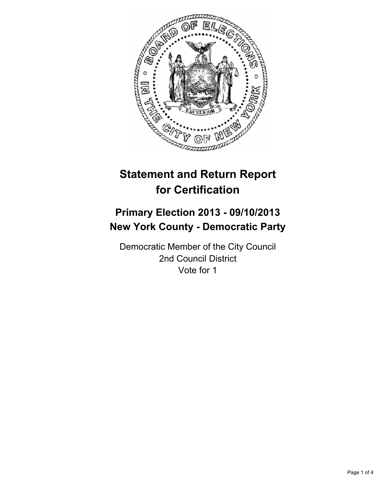

# **Statement and Return Report for Certification**

## **Primary Election 2013 - 09/10/2013 New York County - Democratic Party**

Democratic Member of the City Council 2nd Council District Vote for 1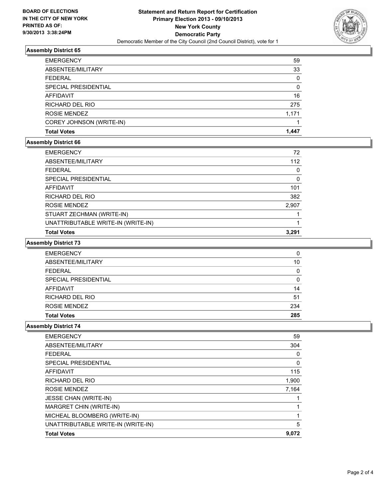

#### **Assembly District 65**

| <b>EMERGENCY</b>         | 59    |
|--------------------------|-------|
| ABSENTEE/MILITARY        | 33    |
| <b>FEDERAL</b>           | 0     |
| SPECIAL PRESIDENTIAL     | 0     |
| <b>AFFIDAVIT</b>         | 16    |
| RICHARD DEL RIO          | 275   |
| ROSIE MENDEZ             | 1.171 |
| COREY JOHNSON (WRITE-IN) |       |
| <b>Total Votes</b>       | 1.447 |

#### **Assembly District 66**

| <b>EMERGENCY</b>                   | 72    |
|------------------------------------|-------|
| ABSENTEE/MILITARY                  | 112   |
| <b>FEDERAL</b>                     | 0     |
| SPECIAL PRESIDENTIAL               | 0     |
| AFFIDAVIT                          | 101   |
| RICHARD DEL RIO                    | 382   |
| ROSIE MENDEZ                       | 2.907 |
| STUART ZECHMAN (WRITE-IN)          |       |
| UNATTRIBUTABLE WRITE-IN (WRITE-IN) |       |
| <b>Total Votes</b>                 | 3.291 |

#### **Assembly District 73**

| <b>EMERGENCY</b>     | 0        |
|----------------------|----------|
| ABSENTEE/MILITARY    | 10       |
| <b>FEDERAL</b>       | 0        |
| SPECIAL PRESIDENTIAL | $\Omega$ |
| <b>AFFIDAVIT</b>     | 14       |
| RICHARD DEL RIO      | 51       |
| ROSIE MENDEZ         | 234      |
| <b>Total Votes</b>   | 285      |

#### **Assembly District 74**

| <b>EMERGENCY</b>                   | 59    |
|------------------------------------|-------|
| ABSENTEE/MILITARY                  | 304   |
| <b>FEDERAL</b>                     | 0     |
| SPECIAL PRESIDENTIAL               | 0     |
| <b>AFFIDAVIT</b>                   | 115   |
| RICHARD DEL RIO                    | 1,900 |
| ROSIE MENDEZ                       | 7,164 |
| <b>JESSE CHAN (WRITE-IN)</b>       |       |
| MARGRET CHIN (WRITE-IN)            |       |
| MICHEAL BLOOMBERG (WRITE-IN)       |       |
| UNATTRIBUTABLE WRITE-IN (WRITE-IN) | 5     |
| <b>Total Votes</b>                 | 9,072 |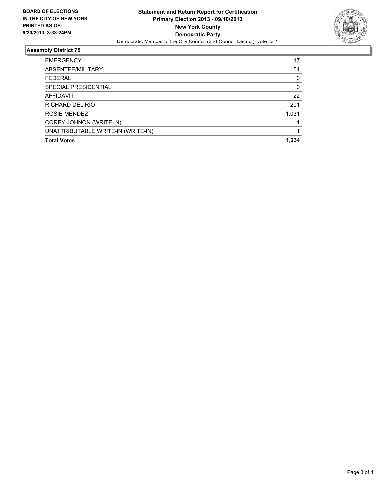

### **Assembly District 75**

| <b>EMERGENCY</b>                   | 17    |
|------------------------------------|-------|
| ABSENTEE/MILITARY                  | 54    |
| <b>FEDERAL</b>                     | 0     |
| SPECIAL PRESIDENTIAL               | 0     |
| <b>AFFIDAVIT</b>                   | 22    |
| RICHARD DEL RIO                    | 201   |
| ROSIE MENDEZ                       | 1,031 |
| COREY JOHNON (WRITE-IN)            |       |
| UNATTRIBUTABLE WRITE-IN (WRITE-IN) |       |
| <b>Total Votes</b>                 | 1.234 |